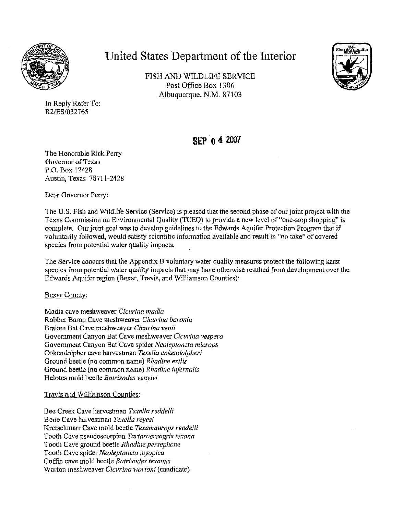

## **United States Department of the Interior**

FISH AND WILDLIFE SERV1CE Post Office Box 1306 Albuquerque, N.M. 87103



In Reply Refer To: R2/ES/032765

## **SEP o4 2007**

The Honorable Rick Perry Governor of Texas P.O. Box 12428 Austin, Texas 78711-2428

Dear Governor Perry:

The U.S. Fish and Wildlife Service (Service) is pleased that the second phase ofour joint project with the Texas Commission on Environmental Quality (TCEQ) to provide a new level of"one-stop shopping" is complete. Our joint goal was to develop guidelines to the Edwards Aquifer Protection Program that if voluntarily followed, would satisfy scientific information available and result in "no take" of covered species from potential water quality impacts.

The Service concurs that the Appendix B voluntary water quality measures protect the following karst species from potential water quality impacts that may have otherwise resulted from development over the Edwards Aquifer region (Bexar, Travis, and Williamson Counties):

## Bexar County:

Madla cave meshweaver *Cicurina madla*  Robber Baron Cave meshweaver *Cicurina baronia*  Braken Bat Cave meshweaver *Cicurina venii*  Government Canyon Bat Cave meshweaver *Cicurina vespera*  Government Canyon Bat Cave spider *Neo/eptoneta microps*  Cokendolpher cave harvestman *Texella cokendolpheri*  Ground beetle (no common name) *Rhadine exi/is*  Ground beetle (no common name) *Rhadine infernalis*  Helotes mold beetle *Batrisodes venyivi* 

Travis and Williamson Counties:

Bee Creek Cave harvestman *Texella reddelli*  Bone Cave harvestman *Texella reyesi*  Kretschmarr Cave mold beetle *Texamaurops reddelli*  Tooth Cave pseudoscorpion *Tartarocreagris texcma*  Tooth Cave ground beetle *Rhadine persephone*  Tooth Cave spider *Neoleptoneta myopica*  Coffin cave mold beetle *Batrisodes texanus*  Warton meshweaver *Cicurina wartoni* (candidate)